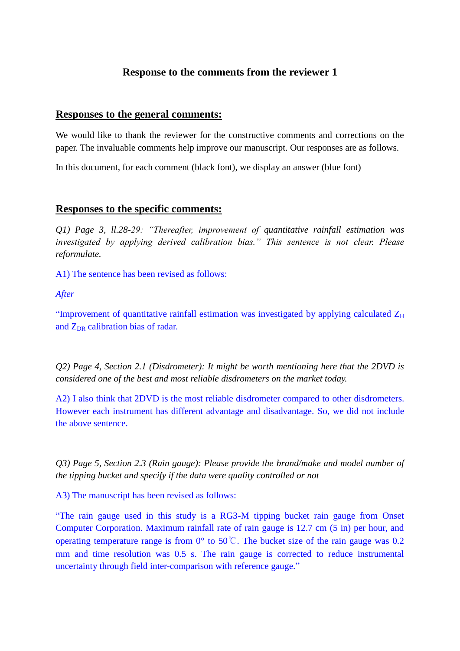## **Response to the comments from the reviewer 1**

## **Responses to the general comments:**

We would like to thank the reviewer for the constructive comments and corrections on the paper. The invaluable comments help improve our manuscript. Our responses are as follows.

In this document, for each comment (black font), we display an answer (blue font)

## **Responses to the specific comments:**

*Q1) Page 3, ll.28-29: "Thereafter, improvement of quantitative rainfall estimation was investigated by applying derived calibration bias." This sentence is not clear. Please reformulate.*

A1) The sentence has been revised as follows:

*After*

"Improvement of quantitative rainfall estimation was investigated by applying calculated  $Z_H$ and  $Z_{DR}$  calibration bias of radar.

*Q2) Page 4, Section 2.1 (Disdrometer): It might be worth mentioning here that the 2DVD is considered one of the best and most reliable disdrometers on the market today.* 

A2) I also think that 2DVD is the most reliable disdrometer compared to other disdrometers. However each instrument has different advantage and disadvantage. So, we did not include the above sentence.

*Q3) Page 5, Section 2.3 (Rain gauge): Please provide the brand/make and model number of the tipping bucket and specify if the data were quality controlled or not*

A3) The manuscript has been revised as follows:

"The rain gauge used in this study is a RG3-M tipping bucket rain gauge from Onset Computer Corporation. Maximum rainfall rate of rain gauge is 12.7 cm (5 in) per hour, and operating temperature range is from  $0^{\circ}$  to  $50^{\circ}$ . The bucket size of the rain gauge was 0.2 mm and time resolution was  $0.5$  s. The rain gauge is corrected to reduce instrumental uncertainty through field inter-comparison with reference gauge."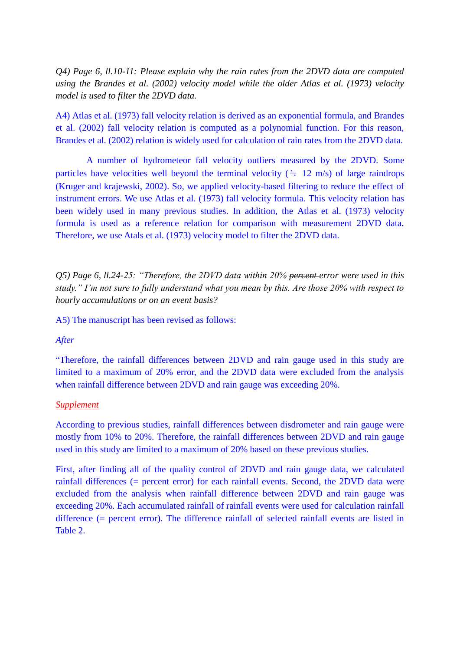*Q4) Page 6, ll.10-11: Please explain why the rain rates from the 2DVD data are computed using the Brandes et al. (2002) velocity model while the older Atlas et al. (1973) velocity model is used to filter the 2DVD data.*

A4) Atlas et al. (1973) fall velocity relation is derived as an exponential formula, and Brandes et al. (2002) fall velocity relation is computed as a polynomial function. For this reason, Brandes et al. (2002) relation is widely used for calculation of rain rates from the 2DVD data.

A number of hydrometeor fall velocity outliers measured by the 2DVD. Some particles have velocities well beyond the terminal velocity ( $\div$  12 m/s) of large raindrops (Kruger and krajewski, 2002). So, we applied velocity-based filtering to reduce the effect of instrument errors. We use Atlas et al. (1973) fall velocity formula. This velocity relation has been widely used in many previous studies. In addition, the Atlas et al. (1973) velocity formula is used as a reference relation for comparison with measurement 2DVD data. Therefore, we use Atals et al. (1973) velocity model to filter the 2DVD data.

*Q5) Page 6, ll.24-25: "Therefore, the 2DVD data within 20% percent error were used in this study." I'm not sure to fully understand what you mean by this. Are those 20% with respect to hourly accumulations or on an event basis?*

A5) The manuscript has been revised as follows:

#### *After*

"Therefore, the rainfall differences between 2DVD and rain gauge used in this study are limited to a maximum of 20% error, and the 2DVD data were excluded from the analysis when rainfall difference between 2DVD and rain gauge was exceeding 20%.

#### *Supplement*

According to previous studies, rainfall differences between disdrometer and rain gauge were mostly from 10% to 20%. Therefore, the rainfall differences between 2DVD and rain gauge used in this study are limited to a maximum of 20% based on these previous studies.

First, after finding all of the quality control of 2DVD and rain gauge data, we calculated rainfall differences (= percent error) for each rainfall events. Second, the 2DVD data were excluded from the analysis when rainfall difference between 2DVD and rain gauge was exceeding 20%. Each accumulated rainfall of rainfall events were used for calculation rainfall difference (= percent error). The difference rainfall of selected rainfall events are listed in Table 2.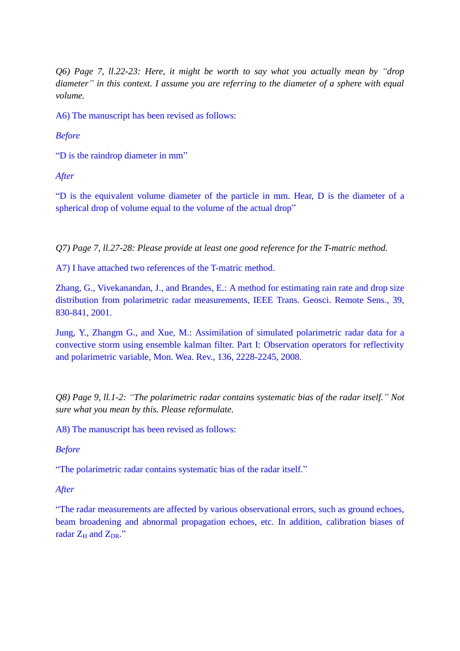*Q6) Page 7, ll.22-23: Here, it might be worth to say what you actually mean by "drop diameter" in this context. I assume you are referring to the diameter of a sphere with equal volume.*

A6) The manuscript has been revised as follows:

*Before*

"D is the raindrop diameter in mm"

*After*

"D is the equivalent volume diameter of the particle in mm. Hear, D is the diameter of a spherical drop of volume equal to the volume of the actual drop"

*Q7) Page 7, ll.27-28: Please provide at least one good reference for the T-matric method.*

A7) I have attached two references of the T-matric method.

Zhang, G., Vivekanandan, J., and Brandes, E.: A method for estimating rain rate and drop size distribution from polarimetric radar measurements, IEEE Trans. Geosci. Remote Sens., 39, 830-841, 2001.

Jung, Y., Zhangm G., and Xue, M.: Assimilation of simulated polarimetric radar data for a convective storm using ensemble kalman filter. Part I: Observation operators for reflectivity and polarimetric variable, Mon. Wea. Rev., 136, 2228-2245, 2008.

*Q8) Page 9, ll.1-2: "The polarimetric radar contains systematic bias of the radar itself." Not sure what you mean by this. Please reformulate.*

A8) The manuscript has been revised as follows:

#### *Before*

"The polarimetric radar contains systematic bias of the radar itself."

#### *After*

"The radar measurements are affected by various observational errors, such as ground echoes, beam broadening and abnormal propagation echoes, etc. In addition, calibration biases of radar  $Z_H$  and  $Z_{DR}$ ."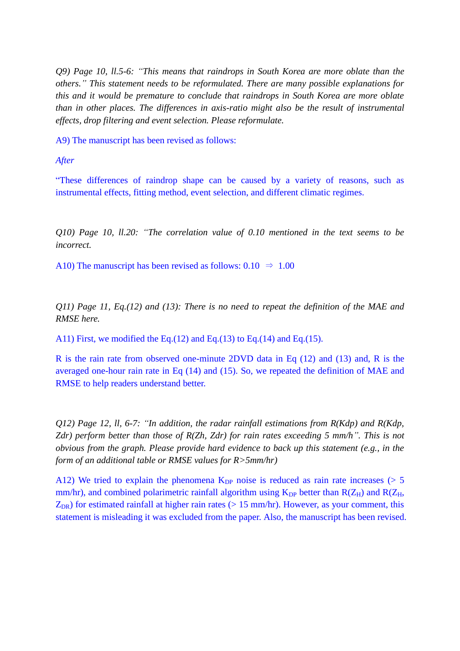*Q9) Page 10, ll.5-6: "This means that raindrops in South Korea are more oblate than the others." This statement needs to be reformulated. There are many possible explanations for this and it would be premature to conclude that raindrops in South Korea are more oblate than in other places. The differences in axis-ratio might also be the result of instrumental effects, drop filtering and event selection. Please reformulate.*

A9) The manuscript has been revised as follows:

*After*

"These differences of raindrop shape can be caused by a variety of reasons, such as instrumental effects, fitting method, event selection, and different climatic regimes.

*Q10) Page 10, ll.20: "The correlation value of 0.10 mentioned in the text seems to be incorrect.*

A10) The manuscript has been revised as follows:  $0.10 \Rightarrow 1.00$ 

*Q11) Page 11, Eq.(12) and (13): There is no need to repeat the definition of the MAE and RMSE here.*

A11) First, we modified the Eq.(12) and Eq.(13) to Eq.(14) and Eq.(15).

R is the rain rate from observed one-minute 2DVD data in Eq (12) and (13) and, R is the averaged one-hour rain rate in Eq (14) and (15). So, we repeated the definition of MAE and RMSE to help readers understand better.

*Q12) Page 12, ll, 6-7: "In addition, the radar rainfall estimations from R(Kdp) and R(Kdp, Zdr) perform better than those of R(Zh, Zdr) for rain rates exceeding 5 mm/h". This is not obvious from the graph. Please provide hard evidence to back up this statement (e.g., in the form of an additional table or RMSE values for R>5mm/hr)* 

A12) We tried to explain the phenomena  $K_{DP}$  noise is reduced as rain rate increases ( $> 5$ mm/hr), and combined polarimetric rainfall algorithm using  $K_{DP}$  better than  $R(Z_H)$  and  $R(Z_H)$ ,  $Z_{DR}$ ) for estimated rainfall at higher rain rates ( $> 15$  mm/hr). However, as your comment, this statement is misleading it was excluded from the paper. Also, the manuscript has been revised.